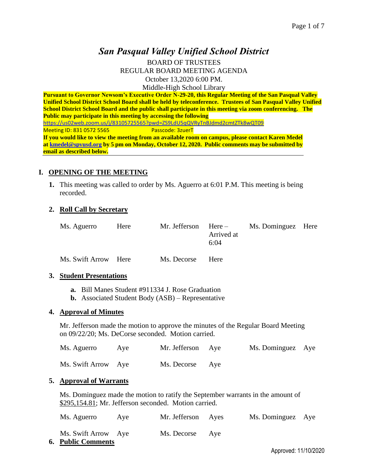# *San Pasqual Valley Unified School District*

BOARD OF TRUSTEES REGULAR BOARD MEETING AGENDA October 13,2020 6:00 PM. Middle-High School Library

**Pursuant to Governor Newsom's Executive Order N-29-20, this Regular Meeting of the San Pasqual Valley Unified School District School Board shall be held by teleconference. Trustees of San Pasqual Valley Unified School District School Board and the public shall participate in this meeting via zoom conferencing. The Public may participate in this meeting by accessing the following**  <https://us02web.zoom.us/j/83105725565?pwd=ZS9LdU5qQVRyTnBJdmd2cmtZTk8wQT09> Meeting ID: 831 0572 5565 Passcode: 3zuerT **If you would like to view the meeting from an available room on campus, please contact Karen Medel a[t kmedel@spvusd.org](mailto:kmedel@spvusd.org) by 5 pm on Monday, October 12, 2020. Public comments may be submitted by email as described below.** 

#### **I. OPENING OF THE MEETING**

**1.** This meeting was called to order by Ms. Aguerro at 6:01 P.M. This meeting is being recorded.

#### **2. Roll Call by Secretary**

| Ms. Aguerro | Here | Mr. Jefferson $Here -$ | Arrived at<br>6:04 | Ms. Dominguez Here |  |
|-------------|------|------------------------|--------------------|--------------------|--|
|             |      |                        |                    |                    |  |

Ms. Swift Arrow Here Ms. Decorse Here

#### **3. Student Presentations**

- **a.** Bill Manes Student #911334 J. Rose Graduation
- **b.** Associated Student Body (ASB) Representative

#### **4. Approval of Minutes**

Mr. Jefferson made the motion to approve the minutes of the Regular Board Meeting on 09/22/20; Ms. DeCorse seconded. Motion carried.

| Ms. Aguerro         | Aye | Mr. Jefferson Aye | Ms. Dominguez Aye |  |
|---------------------|-----|-------------------|-------------------|--|
| Ms. Swift Arrow Aye |     | Ms. Decorse Aye   |                   |  |

#### **5. Approval of Warrants**

Ms. Dominguez made the motion to ratify the September warrants in the amount of \$295,154.81; Mr. Jefferson seconded. Motion carried.

| Ms. Aguerro                                      | Ave | Mr. Jefferson Ayes | Ms. Dominguez Aye |  |
|--------------------------------------------------|-----|--------------------|-------------------|--|
| Ms. Swift Arrow Aye<br><b>6. Public Comments</b> |     | Ms. Decorse Aye    |                   |  |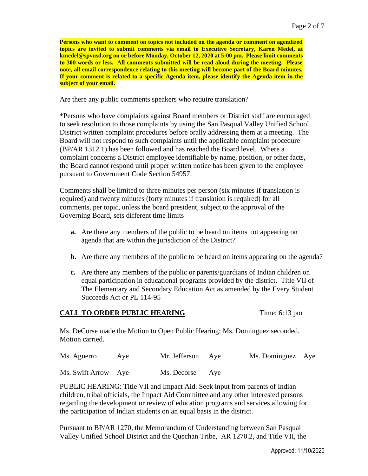**Persons who want to comment on topics not included on the agenda or comment on agendized topics are invited to submit comments via email to Executive Secretary, Karen Medel, at kmedel@spvusd.org on or before Monday, October 12, 2020 at 5:00 pm. Please limit comments to 300 words or less. All comments submitted will be read aloud during the meeting. Please note, all email correspondence relating to this meeting will become part of the Board minutes. If your comment is related to a specific Agenda item, please identify the Agenda item in the subject of your email.**

Are there any public comments speakers who require translation?

\*Persons who have complaints against Board members or District staff are encouraged to seek resolution to those complaints by using the San Pasqual Valley Unified School District written complaint procedures before orally addressing them at a meeting. The Board will not respond to such complaints until the applicable complaint procedure (BP/AR 1312.1) has been followed and has reached the Board level. Where a complaint concerns a District employee identifiable by name, position, or other facts, the Board cannot respond until proper written notice has been given to the employee pursuant to Government Code Section 54957.

Comments shall be limited to three minutes per person (six minutes if translation is required) and twenty minutes (forty minutes if translation is required) for all comments, per topic, unless the board president, subject to the approval of the Governing Board, sets different time limits

- **a.** Are there any members of the public to be heard on items not appearing on agenda that are within the jurisdiction of the District?
- **b.** Are there any members of the public to be heard on items appearing on the agenda?
- **c.** Are there any members of the public or parents/guardians of Indian children on equal participation in educational programs provided by the district. Title VII of The Elementary and Secondary Education Act as amended by the Every Student Succeeds Act or PL 114-95

#### **CALL TO ORDER PUBLIC HEARING** Time: 6:13 pm

Ms. DeCorse made the Motion to Open Public Hearing; Ms. Dominguez seconded. Motion carried.

| Ms. Aguerro         | Ave | Mr. Jefferson Aye | Ms. Dominguez Aye |  |
|---------------------|-----|-------------------|-------------------|--|
| Ms. Swift Arrow Aye |     | Ms. Decorse Aye   |                   |  |

PUBLIC HEARING: Title VII and Impact Aid. Seek input from parents of Indian children, tribal officials, the Impact Aid Committee and any other interested persons regarding the development or review of education programs and services allowing for the participation of Indian students on an equal basis in the district.

Pursuant to BP/AR 1270, the Memorandum of Understanding between San Pasqual Valley Unified School District and the Quechan Tribe, AR 1270.2, and Title VII, the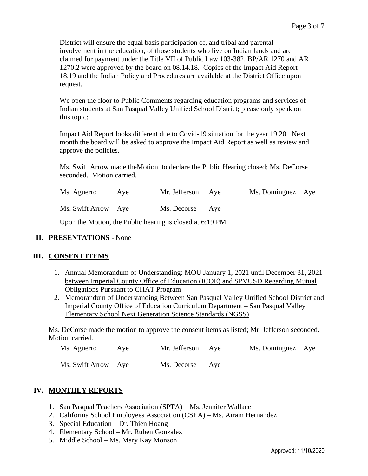District will ensure the equal basis participation of, and tribal and parental involvement in the education, of those students who live on Indian lands and are claimed for payment under the Title VII of Public Law 103-382. BP/AR 1270 and AR 1270.2 were approved by the board on 08.14.18. Copies of the Impact Aid Report 18.19 and the Indian Policy and Procedures are available at the District Office upon request.

We open the floor to Public Comments regarding education programs and services of Indian students at San Pasqual Valley Unified School District; please only speak on this topic:

Impact Aid Report looks different due to Covid-19 situation for the year 19.20. Next month the board will be asked to approve the Impact Aid Report as well as review and approve the policies.

Ms. Swift Arrow made theMotion to declare the Public Hearing closed; Ms. DeCorse seconded. Motion carried.

| Ms. Aguerro         | Ave | Mr. Jefferson Aye | Ms. Dominguez Aye |  |
|---------------------|-----|-------------------|-------------------|--|
| Ms. Swift Arrow Aye |     | Ms. Decorse Aye   |                   |  |

Upon the Motion, the Public hearing is closed at 6:19 PM

#### **II. PRESENTATIONS** - None

#### **III. CONSENT ITEMS**

- 1. Annual Memorandum of Understanding: MOU January 1, 2021 until December 31, 2021 between Imperial County Office of Education (ICOE) and SPVUSD Regarding Mutual Obligations Pursuant to CHAT Program
- 2. Memorandum of Understanding Between San Pasqual Valley Unified School District and Imperial County Office of Education Curriculum Department – San Pasqual Valley Elementary School Next Generation Science Standards (NGSS)

Ms. DeCorse made the motion to approve the consent items as listed; Mr. Jefferson seconded. Motion carried.

| Ms. Aguerro         | Ave | Mr. Jefferson Aye | Ms. Dominguez Aye |  |
|---------------------|-----|-------------------|-------------------|--|
| Ms. Swift Arrow Aye |     | Ms. Decorse Aye   |                   |  |

# **IV. MONTHLY REPORTS**

- 1. San Pasqual Teachers Association (SPTA) Ms. Jennifer Wallace
- 2. California School Employees Association (CSEA) Ms. Airam Hernandez
- 3. Special Education Dr. Thien Hoang
- 4. Elementary School Mr. Ruben Gonzalez
- 5. Middle School Ms. Mary Kay Monson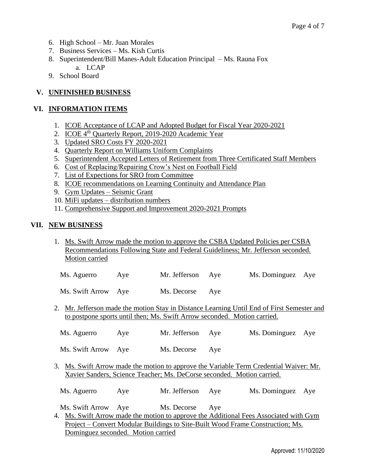- 6. High School Mr. Juan Morales
- 7. Business Services Ms. Kish Curtis
- 8. Superintendent/Bill Manes-Adult Education Principal Ms. Rauna Fox a. LCAP
- 9. School Board

# **V. UNFINISHED BUSINESS**

### **VI. INFORMATION ITEMS**

- 1. ICOE Acceptance of LCAP and Adopted Budget for Fiscal Year 2020-2021
- 2. ICOE 4<sup>th</sup> Quarterly Report, 2019-2020 Academic Year
- 3. Updated SRO Costs FY 2020-2021
- 4. Quarterly Report on Williams Uniform Complaints
- 5. Superintendent Accepted Letters of Retirement from Three Certificated Staff Members
- 6. Cost of Replacing/Repairing Crow's Nest on Football Field
- 7. List of Expections for SRO from Committee
- 8. ICOE recommendations on Learning Continuity and Attendance Plan
- 9. Gym Updates Seismic Grant
- 10. MiFi updates distribution numbers
- 11. Comprehensive Support and Improvement 2020-2021 Prompts

### **VII. NEW BUSINESS**

1. Ms. Swift Arrow made the motion to approve the CSBA Updated Policies per CSBA Recommendations Following State and Federal Guideliness; Mr. Jefferson seconded. Motion carried

| Ms. Aguerro | Ave | Mr. Jefferson Aye |                   |  |
|-------------|-----|-------------------|-------------------|--|
|             |     |                   | Ms. Dominguez Aye |  |

Ms. Swift Arrow Aye Ms. Decorse Aye

2. Mr. Jefferson made the motion Stay in Distance Learning Until End of First Semester and to postpone sports until then; Ms. Swift Arrow seconded. Motion carried.

| Ms. Aguerro | Ave | Mr. Jefferson | Ms. Dominguez Aye |  |
|-------------|-----|---------------|-------------------|--|
|             |     |               |                   |  |

Ms. Swift Arrow Aye Ms. Decorse Aye

3. Ms. Swift Arrow made the motion to approve the Variable Term Credential Waiver: Mr. Xavier Sanders, Science Teacher; Ms. DeCorse seconded. Motion carried.

Ms. Aguerro Aye Mr. Jefferson Aye Ms. Dominguez Aye

Ms. Swift Arrow Aye Ms. Decorse Aye

4. Ms. Swift Arrow made the motion to approve the Additional Fees Associated with Gym Project – Convert Modular Buildings to Site-Built Wood Frame Construction; Ms. Dominguez seconded. Motion carried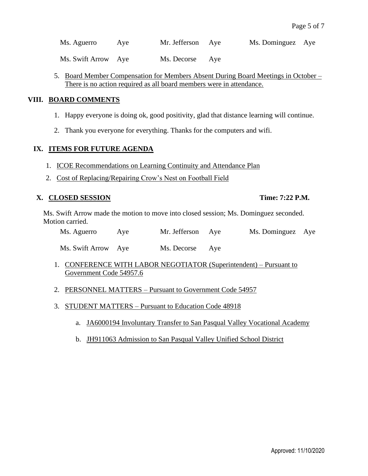Ms. Aguerro Aye Mr. Jefferson Aye Ms. Dominguez Aye

Ms. Swift Arrow Aye Ms. Decorse Aye

5. Board Member Compensation for Members Absent During Board Meetings in October – There is no action required as all board members were in attendance.

### **VIII. BOARD COMMENTS**

- 1. Happy everyone is doing ok, good positivity, glad that distance learning will continue.
- 2. Thank you everyone for everything. Thanks for the computers and wifi.

### **IX. ITEMS FOR FUTURE AGENDA**

- 1. ICOE Recommendations on Learning Continuity and Attendance Plan
- 2. Cost of Replacing/Repairing Crow's Nest on Football Field

### **X. CLOSED SESSION Time: 7:22 P.M.**

Ms. Swift Arrow made the motion to move into closed session; Ms. Dominguez seconded. Motion carried.

| Ms. Aguerro | Aye | Mr. Jefferson Aye | Ms. Dominguez Aye |  |
|-------------|-----|-------------------|-------------------|--|
|             |     |                   |                   |  |

Ms. Swift Arrow Aye Ms. Decorse Aye

- 1. CONFERENCE WITH LABOR NEGOTIATOR (Superintendent) Pursuant to Government Code 54957.6
- 2. PERSONNEL MATTERS Pursuant to Government Code 54957
- 3. STUDENT MATTERS Pursuant to Education Code 48918
	- a. JA6000194 Involuntary Transfer to San Pasqual Valley Vocational Academy
	- b. JH911063 Admission to San Pasqual Valley Unified School District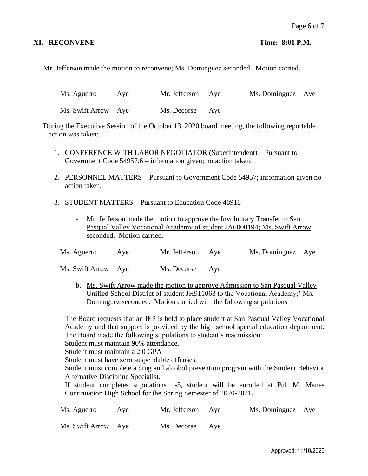## **XI. RECONVENE Time: 8:01 P.M.**

Mr. Jefferson made the motion to reconvene; Ms. Dominguez seconded. Motion carried.

Ms. Aguerro Aye Mr. Jefferson Aye Ms. Dominguez Aye

Ms. Swift Arrow Aye Ms. Decorse Aye

During the Executive Session of the October 13, 2020 board meeting, the following reportable action was taken:

- 1. CONFERENCE WITH LABOR NEGOTIATOR (Superintendent) Pursuant to Government Code 54957.6 – information given; no action taken.
- 2. PERSONNEL MATTERS Pursuant to Government Code 54957; information given no action taken.
- 3. STUDENT MATTERS Pursuant to Education Code 48918
	- a. Mr. Jefferson made the motion to approve the Involuntary Transfer to San Pasqual Valley Vocational Academy of student JA6000194; Ms. Swift Arrow seconded. Motion carried.

| Ms. Aguerro | Ave | Mr. Jefferson Aye | Ms. Dominguez Aye |  |
|-------------|-----|-------------------|-------------------|--|
|             |     |                   |                   |  |

Ms. Swift Arrow Aye Ms. Decorse Aye

b. Ms. Swift Arrow made the motion to approve Admission to San Pasqual Valley Unified School District of student JH911063 to the Vocational Academy;' Ms. Dominguez seconded. Motion carried with the following stipulations

The Board requests that an IEP is held to place student at San Pasqual Valley Vocational Academy and that support is provided by the high school special education department. The Board made the following stipulations to student's readmission:

Student must maintain 90% attendance.

Student must maintain a 2.0 GPA

Student must have zero suspendable offenses.

Student must complete a drug and alcohol prevention program with the Student Behavior Alternative Discipline Specialist.

If student completes stipulations 1-5, student will be enrolled at Bill M. Manes Continuation High School for the Spring Semester of 2020-2021.

| Ms. Aguerro         | Ave | Mr. Jefferson Aye | Ms. Dominguez Aye |  |
|---------------------|-----|-------------------|-------------------|--|
| Ms. Swift Arrow Aye |     | Ms. Decorse Aye   |                   |  |